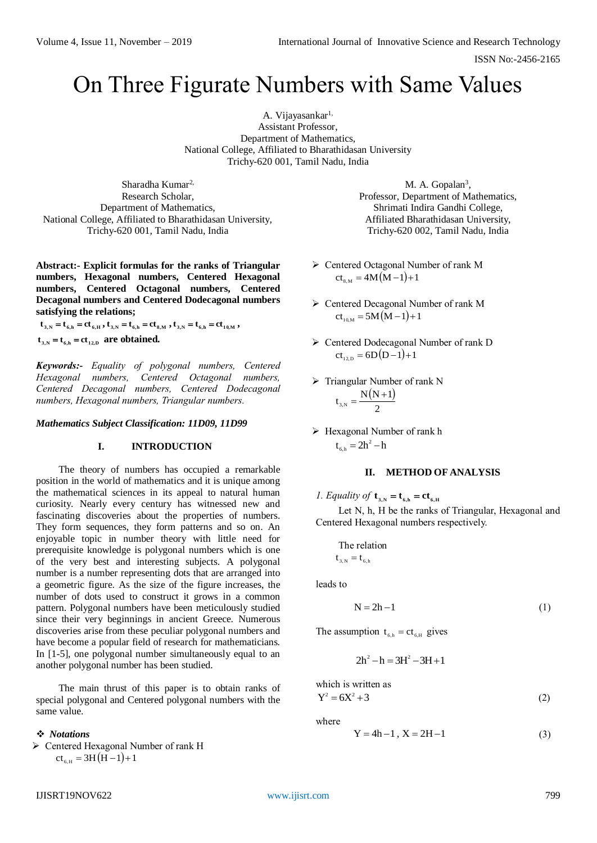ISSN No:-2456-2165

# On Three Figurate Numbers with Same Values

A. Vijayasankar<sup>1,</sup> Assistant Professor, Department of Mathematics, National College, Affiliated to Bharathidasan University Trichy-620 001, Tamil Nadu, India

Sharadha Kumar<sup>2,</sup> Research Scholar, Department of Mathematics, National College, Affiliated to Bharathidasan University, Trichy-620 001, Tamil Nadu, India

**Abstract:- Explicit formulas for the ranks of Triangular numbers, Hexagonal numbers, Centered Hexagonal numbers, Centered Octagonal numbers, Centered Decagonal numbers and Centered Dodecagonal numbers satisfying the relations;**

 $\mathbf{t}_{3,N} = \mathbf{t}_{6,h} = \mathbf{c} \mathbf{t}_{6,H}$ ,  $\mathbf{t}_{3,N} = \mathbf{t}_{6,h} = \mathbf{c} \mathbf{t}_{8,M}$ ,  $\mathbf{t}_{3,N} = \mathbf{t}_{6,h} = \mathbf{c} \mathbf{t}_{10,M}$ ,

 $t_{3,N} = t_{6,h} = ct_{12,D}$  are obtained.

*Keywords:- Equality of polygonal numbers, Centered Hexagonal numbers, Centered Octagonal numbers, Centered Decagonal numbers, Centered Dodecagonal numbers, Hexagonal numbers, Triangular numbers.*

*Mathematics Subject Classification: 11D09, 11D99*

#### **I. INTRODUCTION**

The theory of numbers has occupied a remarkable position in the world of mathematics and it is unique among the mathematical sciences in its appeal to natural human curiosity. Nearly every century has witnessed new and fascinating discoveries about the properties of numbers. They form sequences, they form patterns and so on. An enjoyable topic in number theory with little need for prerequisite knowledge is polygonal numbers which is one of the very best and interesting subjects. A polygonal number is a number representing dots that are arranged into a geometric figure. As the size of the figure increases, the number of dots used to construct it grows in a common pattern. Polygonal numbers have been meticulously studied since their very beginnings in ancient Greece. Numerous discoveries arise from these peculiar polygonal numbers and have become a popular field of research for mathematicians. In [1-5], one polygonal number simultaneously equal to an another polygonal number has been studied.

The main thrust of this paper is to obtain ranks of special polygonal and Centered polygonal numbers with the same value.

### *Notations*

 Centered Hexagonal Number of rank H  $ct_{6,H} = 3H(H-1)+1$ 

M. A. Gopalan<sup>3</sup>, Professor, Department of Mathematics, Shrimati Indira Gandhi College, Affiliated Bharathidasan University, Trichy-620 002, Tamil Nadu, India

- > Centered Octagonal Number of rank M  $ct_{8,M} = 4M(M-1)+1$
- Centered Decagonal Number of rank M  $ct_{10,M} = 5M(M-1)+1$
- > Centered Dodecagonal Number of rank D  $ct_{12,D} = 6D(D-1)+1$
- $\triangleright$  Triangular Number of rank N

$$
\boldsymbol{t}_{_{3,N}}=\frac{N\big(N\!+\!1\big)}{2}
$$

> Hexagonal Number of rank h  $t_{6,h} = 2h^2 - h$ 

#### **II. METHOD OF ANALYSIS**

*1. Equality of*  $\mathbf{t}_{3,N} = \mathbf{t}_{6,h} = c\mathbf{t}_{6,H}$ 

Let N, h, H be the ranks of Triangular, Hexagonal and Centered Hexagonal numbers respectively.

The relation  

$$
t_{3,N} = t_{6,h}
$$

leads to

 $N = 2h - 1$  (1)

The assumption  $t_{6,h} = ct_{6,H}$  gives

$$
2h^2 - h = 3H^2 - 3H + 1
$$

which is written as  
\n
$$
Y^2 = 6X^2 + 3
$$
\n(2)

where

$$
Y = 4h - 1, X = 2H - 1
$$
 (3)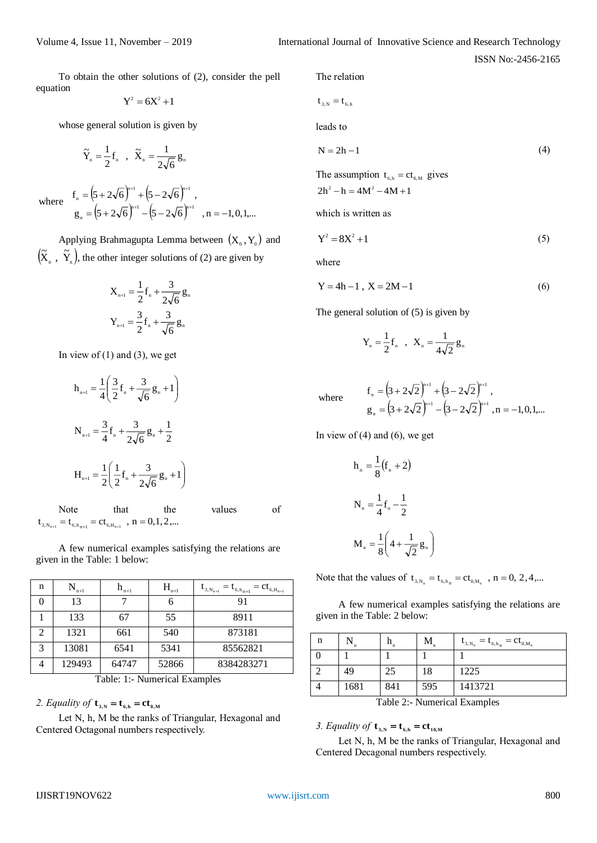ISSN No:-2456-2165

To obtain the other solutions of (2), consider the pell equation

$$
Y^2 = 6X^2 + 1
$$

whose general solution is given by

$$
\widetilde{Y}_n = \frac{1}{2} f_n \quad , \quad \widetilde{X}_n = \frac{1}{2\sqrt{6}} g_n
$$

where 
$$
f_n = (5 + 2\sqrt{6})^{n+1} + (5 - 2\sqrt{6})^{n+1}
$$
,  
\n $g_n = (5 + 2\sqrt{6})^{n+1} - (5 - 2\sqrt{6})^{n+1}$ ,  $n = -1, 0, 1,...$ 

Applying Brahmagupta Lemma between  $(X_0, Y_0)$  and  $(X_n, Y_n),$  $(\tilde{\mathbf{X}}_n, \tilde{\mathbf{Y}}_n)$ , the other integer solutions of (2) are given by

$$
X_{n+1} = \frac{1}{2} f_n + \frac{3}{2\sqrt{6}} g_n
$$
  

$$
Y_{n+1} = \frac{3}{2} f_n + \frac{3}{\sqrt{6}} g_n
$$

In view of  $(1)$  and  $(3)$ , we get

$$
h_{n+1} = \frac{1}{4} \left( \frac{3}{2} f_n + \frac{3}{\sqrt{6}} g_n + 1 \right)
$$
  

$$
N_{n+1} = \frac{3}{4} f_n + \frac{3}{2\sqrt{6}} g_n + \frac{1}{2}
$$
  

$$
H_{n+1} = \frac{1}{2} \left( \frac{1}{2} f_n + \frac{3}{2\sqrt{6}} g_n + 1 \right)
$$
  
Note that the values of  
 $t_{3,N_{n+1}} = t_{6,h_{n+1}} = ct_{6,H_{n+1}}$ ,  $n = 0, 1, 2, ...$ 

A few numerical examples satisfying the relations are given in the Table: 1 below:

| n              | n+l    | $n+1$ | $H_{n+1}$ | $= t_{6,h_{n+1}}$<br>$=ct_{6,H_{n+1}}$<br>$\mathbf{t}_{3,N_{n+1}}$ |
|----------------|--------|-------|-----------|--------------------------------------------------------------------|
|                | 13     |       | 6         | 91                                                                 |
|                | 133    | 67    | 55        | 8911                                                               |
| $\overline{2}$ | 1321   | 661   | 540       | 873181                                                             |
| 3              | 13081  | 6541  | 5341      | 85562821                                                           |
| 4              | 129493 | 64747 | 52866     | 8384283271                                                         |

Table: 1:- Numerical Examples

2. Equality of  $\mathbf{t}_{3,N} = \mathbf{t}_{6,h} = c\mathbf{t}_{8,M}$ 

Let N, h, M be the ranks of Triangular, Hexagonal and Centered Octagonal numbers respectively.

The relation

$$
\mathbf{t}_{3,N} = \mathbf{t}_{6,h}
$$

leads to

$$
N = 2h - 1 \tag{4}
$$

The assumption  $t_{6,h} = ct_{8,M}$  gives  $2h^2 - h = 4M^2 - 4M + 1$ 

which is written as

$$
Y^2 = 8X^2 + 1\tag{5}
$$

where

$$
Y = 4h - 1, X = 2M - 1
$$
 (6)

The general solution of (5) is given by

$$
Y_n = \frac{1}{2} f_n
$$
,  $X_n = \frac{1}{4\sqrt{2}} g_n$ 

where 
$$
f_n = (3 + 2\sqrt{2})^{n+1} + (3 - 2\sqrt{2})^{n+1}
$$
,  
\n $g_n = (3 + 2\sqrt{2})^{n+1} - (3 - 2\sqrt{2})^{n+1}$ ,  $n = -1, 0, 1, ...$ 

In view of  $(4)$  and  $(6)$ , we get

$$
h_n = \frac{1}{8} (f_n + 2)
$$
  

$$
N_n = \frac{1}{4} f_n - \frac{1}{2}
$$
  

$$
M_n = \frac{1}{8} \left( 4 + \frac{1}{\sqrt{2}} g_n \right)
$$

Note that the values of  $t_{3,N_n} = t_{6,h_n} = ct_{8,M_n}$ , n = 0, 2, 4,...

A few numerical examples satisfying the relations are given in the Table: 2 below:

| n                       |      |     | М   | $= t_{6,h_n} = ct_{8,M_n}$<br>$\mathbf{t}_{3,N_n}$ |
|-------------------------|------|-----|-----|----------------------------------------------------|
|                         |      |     |     |                                                    |
|                         | 49   | 25  | 18  | 1225                                               |
|                         | 1681 | 841 | 595 | 1413721                                            |
| T11A1<br>1 <sub>1</sub> |      |     |     |                                                    |

Table 2:- Numerical Examples

## 3. Equality of  $\mathbf{t}_{3,N} = \mathbf{t}_{6,h} = c\mathbf{t}_{10,M}$

Let N, h, M be the ranks of Triangular, Hexagonal and Centered Decagonal numbers respectively.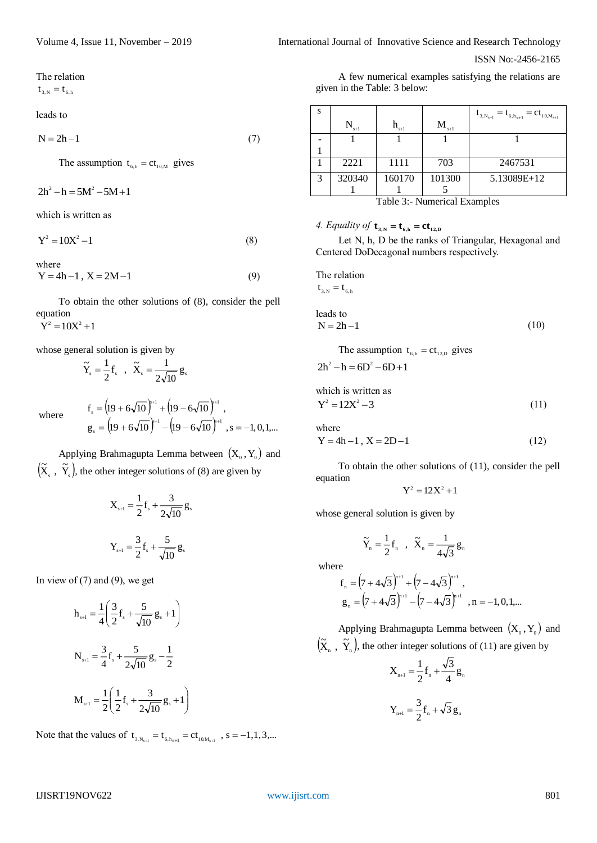The relation

 $t_{3,N} = t_{6,h}$ 

leads to

 $N = 2h - 1$  (7)

The assumption  $t_{6,h} = ct_{10,M}$  gives

 $2h^2 - h = 5M^2 - 5M + 1$ 

which is written as

$$
Y^2 = 10X^2 - 1\tag{8}
$$

where  $Y = 4h - 1$ ,  $X = 2M - 1$  (9)

To obtain the other solutions of (8), consider the pell equation  $Y^2 = 10X^2 + 1$ 

whose general solution is given by

$$
\widetilde{Y}_s = \frac{1}{2} f_s , \quad \widetilde{X}_s = \frac{1}{2\sqrt{10}} g_s
$$

where

$$
f_s = (19 + 6\sqrt{10})^{3+1} + (19 - 6\sqrt{10})^{3+1},
$$
  
\n
$$
g_s = (19 + 6\sqrt{10})^{3+1} - (19 - 6\sqrt{10})^{3+1}, s = -1, 0, 1, ...
$$

Applying Brahmagupta Lemma between  $(X_0, Y_0)$  and  $(\tilde{\mathrm{X}}_{\mathrm{s}} \; , \; \tilde{\mathrm{Y}}_{\mathrm{s}}),$  $(\tilde{X}, \tilde{Y},)$ , the other integer solutions of (8) are given by

$$
X_{s+1} = \frac{1}{2}f_s + \frac{3}{2\sqrt{10}}g_s
$$

$$
Y_{s+1} = \frac{3}{2}f_s + \frac{5}{\sqrt{10}}g_s
$$

In view of  $(7)$  and  $(9)$ , we get

$$
h_{s+1} = \frac{1}{4} \left( \frac{3}{2} f_s + \frac{5}{\sqrt{10}} g_s + 1 \right)
$$
  

$$
N_{s+1} = \frac{3}{4} f_s + \frac{5}{2\sqrt{10}} g_s - \frac{1}{2}
$$
  

$$
M_{s+1} = \frac{1}{2} \left( \frac{1}{2} f_s + \frac{3}{2\sqrt{10}} g_s + 1 \right)
$$

Note that the values of  $t_{3,N_{s+1}} = t_{6,N_{s+1}} = ct_{10,M_{s+1}}$ , s = -1,1,3,...

Volume 4, Issue 11, November – 2019 **International Journal of Innovative Science and Research Technology** 

ISSN No:-2456-2165

A few numerical examples satisfying the relations are given in the Table: 3 below:

| S                            |        |           |                                | $= t_{6,h_{s+1}} = ct_{10,M_{s+1}}$<br>$t_{3,N_{s+1}}$ |
|------------------------------|--------|-----------|--------------------------------|--------------------------------------------------------|
|                              | $s+1$  | $h_{s+1}$ | $\mathbf{M}_{_{\mathrm{s+l}}}$ |                                                        |
|                              |        |           |                                |                                                        |
|                              |        |           |                                |                                                        |
|                              | 2221   | 1111      | 703                            | 2467531                                                |
| 3                            | 320340 | 160170    | 101300                         | 5.13089E+12                                            |
|                              |        |           |                                |                                                        |
| Table 3:- Numerical Examples |        |           |                                |                                                        |

*4. Equality of*  $\mathbf{t}_{3,N} = \mathbf{t}_{6,h} = \mathbf{c} \mathbf{t}_{12,D}$ 

Let N, h, D be the ranks of Triangular, Hexagonal and Centered DoDecagonal numbers respectively.

The relation  ${\rm t}_{_{3,\rm N}}={\rm t}_{_{6,\rm h}}$ 

leads to  
\n
$$
N = 2h - 1
$$
\n(10)

The assumption 
$$
t_{6,h} = ct_{12,D}
$$
 gives

$$
2h^2 - h = 6D^2 - 6D + 1
$$

which is written as  $Y^2 = 12X^2 - 3$  (11)

where

$$
Y = 4h - 1, X = 2D - 1
$$
 (12)

To obtain the other solutions of (11), consider the pell equation

$$
Y^2 = 12X^2 + 1
$$

whose general solution is given by

$$
\widetilde{Y}_\text{\tiny n}=\frac{1}{2}f_\text{\tiny n}\quad,\quad \widetilde{X}_\text{\tiny n}=\frac{1}{4\sqrt{3}}\,g_\text{\tiny n}
$$

where

$$
f_{n} = (7 + 4\sqrt{3})^{n+1} + (7 - 4\sqrt{3})^{n+1},
$$
  
\n
$$
g_{n} = (7 + 4\sqrt{3})^{n+1} - (7 - 4\sqrt{3})^{n+1}, n = -1, 0, 1, ...
$$

Applying Brahmagupta Lemma between  $(X_0, Y_0)$  and  $(\widetilde{\textnormal{X}}_{_\textnormal{n}}$  ,  $\widetilde{\textnormal{Y}}_{_\textnormal{n}}$ ),  $(\widetilde{X}_n, \widetilde{Y}_n)$ , the other integer solutions of (11) are given by

$$
X_{n+1} = \frac{1}{2} f_n + \frac{\sqrt{3}}{4} g_n
$$

$$
Y_{n+1} = \frac{3}{2} f_n + \sqrt{3} g_n
$$